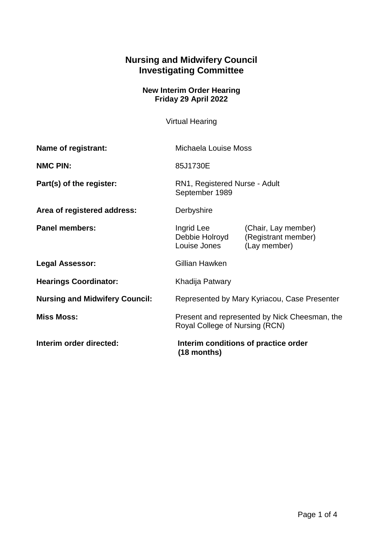## **Nursing and Midwifery Council Investigating Committee**

## **New Interim Order Hearing Friday 29 April 2022**

Virtual Hearing

| Name of registrant:                   | Michaela Louise Moss                                                            |                                                            |
|---------------------------------------|---------------------------------------------------------------------------------|------------------------------------------------------------|
| <b>NMC PIN:</b>                       | 85J1730E                                                                        |                                                            |
| Part(s) of the register:              | RN1, Registered Nurse - Adult<br>September 1989                                 |                                                            |
| Area of registered address:           | Derbyshire                                                                      |                                                            |
| <b>Panel members:</b>                 | Ingrid Lee<br>Debbie Holroyd<br>Louise Jones                                    | (Chair, Lay member)<br>(Registrant member)<br>(Lay member) |
| <b>Legal Assessor:</b>                | Gillian Hawken                                                                  |                                                            |
| <b>Hearings Coordinator:</b>          | Khadija Patwary                                                                 |                                                            |
| <b>Nursing and Midwifery Council:</b> | Represented by Mary Kyriacou, Case Presenter                                    |                                                            |
| <b>Miss Moss:</b>                     | Present and represented by Nick Cheesman, the<br>Royal College of Nursing (RCN) |                                                            |
| Interim order directed:               | Interim conditions of practice order<br>$(18$ months)                           |                                                            |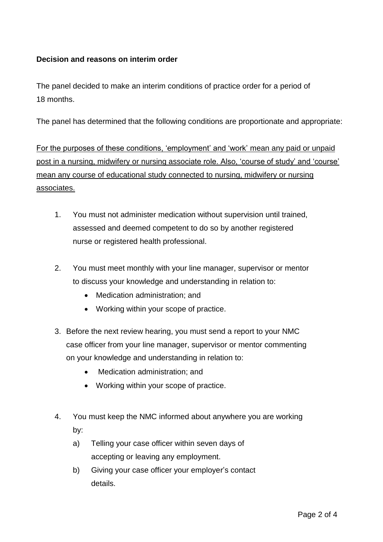## **Decision and reasons on interim order**

The panel decided to make an interim conditions of practice order for a period of 18 months.

The panel has determined that the following conditions are proportionate and appropriate:

For the purposes of these conditions, 'employment' and 'work' mean any paid or unpaid post in a nursing, midwifery or nursing associate role. Also, 'course of study' and 'course' mean any course of educational study connected to nursing, midwifery or nursing associates.

- 1. You must not administer medication without supervision until trained, assessed and deemed competent to do so by another registered nurse or registered health professional.
- 2. You must meet monthly with your line manager, supervisor or mentor to discuss your knowledge and understanding in relation to:
	- Medication administration; and
	- Working within your scope of practice.
- 3. Before the next review hearing, you must send a report to your NMC case officer from your line manager, supervisor or mentor commenting on your knowledge and understanding in relation to:
	- Medication administration; and
	- Working within your scope of practice.
- 4. You must keep the NMC informed about anywhere you are working by:
	- a) Telling your case officer within seven days of accepting or leaving any employment.
	- b) Giving your case officer your employer's contact details.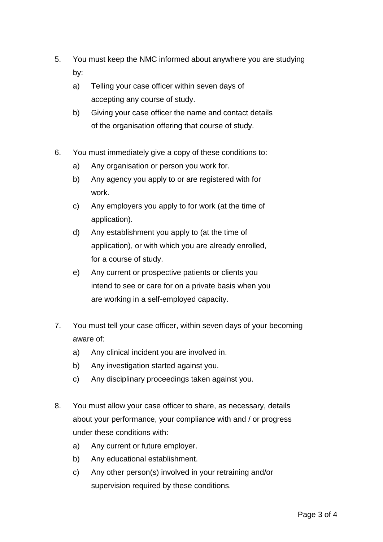- 5. You must keep the NMC informed about anywhere you are studying by:
	- a) Telling your case officer within seven days of accepting any course of study.
	- b) Giving your case officer the name and contact details of the organisation offering that course of study.
- 6. You must immediately give a copy of these conditions to:
	- a) Any organisation or person you work for.
	- b) Any agency you apply to or are registered with for work.
	- c) Any employers you apply to for work (at the time of application).
	- d) Any establishment you apply to (at the time of application), or with which you are already enrolled, for a course of study.
	- e) Any current or prospective patients or clients you intend to see or care for on a private basis when you are working in a self-employed capacity.
- 7. You must tell your case officer, within seven days of your becoming aware of:
	- a) Any clinical incident you are involved in.
	- b) Any investigation started against you.
	- c) Any disciplinary proceedings taken against you.
- 8. You must allow your case officer to share, as necessary, details about your performance, your compliance with and / or progress under these conditions with:
	- a) Any current or future employer.
	- b) Any educational establishment.
	- c) Any other person(s) involved in your retraining and/or supervision required by these conditions.